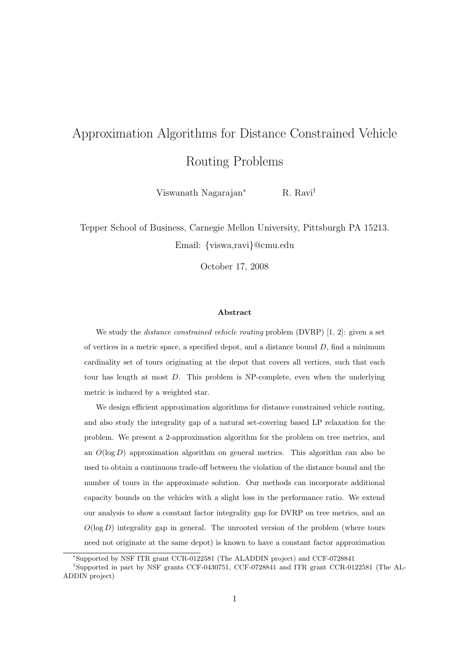# Approximation Algorithms for Distance Constrained Vehicle Routing Problems

Viswanath Nagarajan<sup>∗</sup> R. Ravi†

Tepper School of Business, Carnegie Mellon University, Pittsburgh PA 15213. Email: {viswa,ravi}@cmu.edu

October 17, 2008

### Abstract

We study the *distance constrained vehicle routing* problem (DVRP) [1, 2]: given a set of vertices in a metric space, a specified depot, and a distance bound  $D$ , find a minimum cardinality set of tours originating at the depot that covers all vertices, such that each tour has length at most D. This problem is NP-complete, even when the underlying metric is induced by a weighted star.

We design efficient approximation algorithms for distance constrained vehicle routing, and also study the integrality gap of a natural set-covering based LP relaxation for the problem. We present a 2-approximation algorithm for the problem on tree metrics, and an  $O(\log D)$  approximation algorithm on general metrics. This algorithm can also be used to obtain a continuous trade-off between the violation of the distance bound and the number of tours in the approximate solution. Our methods can incorporate additional capacity bounds on the vehicles with a slight loss in the performance ratio. We extend our analysis to show a constant factor integrality gap for DVRP on tree metrics, and an  $O(\log D)$  integrality gap in general. The unrooted version of the problem (where tours need not originate at the same depot) is known to have a constant factor approximation

<sup>∗</sup>Supported by NSF ITR grant CCR-0122581 (The ALADDIN project) and CCF-0728841

<sup>†</sup>Supported in part by NSF grants CCF-0430751, CCF-0728841 and ITR grant CCR-0122581 (The AL-ADDIN project)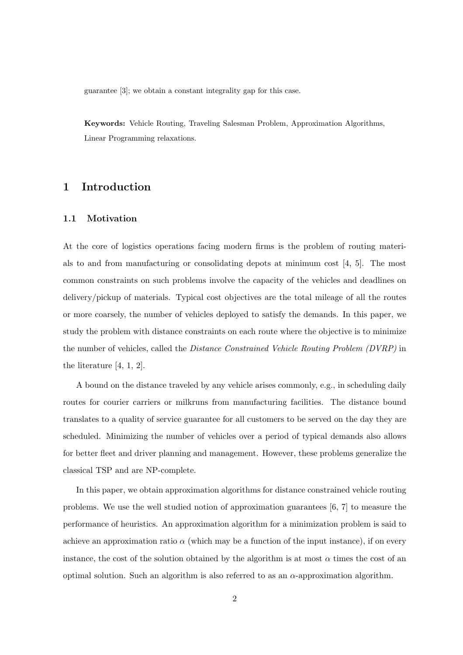guarantee [3]; we obtain a constant integrality gap for this case.

Keywords: Vehicle Routing, Traveling Salesman Problem, Approximation Algorithms, Linear Programming relaxations.

# 1 Introduction

### 1.1 Motivation

At the core of logistics operations facing modern firms is the problem of routing materials to and from manufacturing or consolidating depots at minimum cost [4, 5]. The most common constraints on such problems involve the capacity of the vehicles and deadlines on delivery/pickup of materials. Typical cost objectives are the total mileage of all the routes or more coarsely, the number of vehicles deployed to satisfy the demands. In this paper, we study the problem with distance constraints on each route where the objective is to minimize the number of vehicles, called the Distance Constrained Vehicle Routing Problem (DVRP) in the literature [4, 1, 2].

A bound on the distance traveled by any vehicle arises commonly, e.g., in scheduling daily routes for courier carriers or milkruns from manufacturing facilities. The distance bound translates to a quality of service guarantee for all customers to be served on the day they are scheduled. Minimizing the number of vehicles over a period of typical demands also allows for better fleet and driver planning and management. However, these problems generalize the classical TSP and are NP-complete.

In this paper, we obtain approximation algorithms for distance constrained vehicle routing problems. We use the well studied notion of approximation guarantees [6, 7] to measure the performance of heuristics. An approximation algorithm for a minimization problem is said to achieve an approximation ratio  $\alpha$  (which may be a function of the input instance), if on every instance, the cost of the solution obtained by the algorithm is at most  $\alpha$  times the cost of an optimal solution. Such an algorithm is also referred to as an  $\alpha$ -approximation algorithm.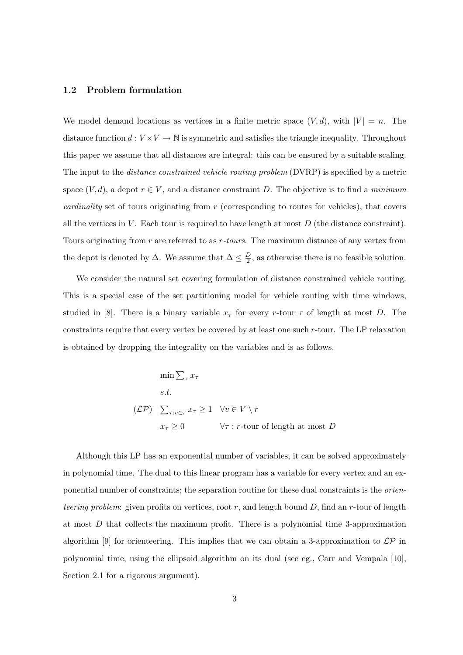### 1.2 Problem formulation

We model demand locations as vertices in a finite metric space  $(V, d)$ , with  $|V| = n$ . The distance function  $d: V \times V \to \mathbb{N}$  is symmetric and satisfies the triangle inequality. Throughout this paper we assume that all distances are integral: this can be ensured by a suitable scaling. The input to the *distance constrained vehicle routing problem* (DVRP) is specified by a metric space  $(V, d)$ , a depot  $r \in V$ , and a distance constraint D. The objective is to find a *minimum* cardinality set of tours originating from r (corresponding to routes for vehicles), that covers all the vertices in  $V$ . Each tour is required to have length at most  $D$  (the distance constraint). Tours originating from r are referred to as r-tours. The maximum distance of any vertex from the depot is denoted by  $\Delta$ . We assume that  $\Delta \leq \frac{D}{2}$  $\frac{D}{2}$ , as otherwise there is no feasible solution.

We consider the natural set covering formulation of distance constrained vehicle routing. This is a special case of the set partitioning model for vehicle routing with time windows, studied in [8]. There is a binary variable  $x_{\tau}$  for every r-tour  $\tau$  of length at most D. The constraints require that every vertex be covered by at least one such  $r$ -tour. The LP relaxation is obtained by dropping the integrality on the variables and is as follows.

$$
\min \sum_{\tau} x_{\tau}
$$
\n*s.t.*\n
$$
(\mathcal{LP}) \quad \sum_{\tau: v \in \tau} x_{\tau} \ge 1 \quad \forall v \in V \setminus r
$$
\n
$$
x_{\tau} \ge 0 \qquad \qquad \forall \tau: r\text{-}tour \text{ of length at most } D
$$

Although this LP has an exponential number of variables, it can be solved approximately in polynomial time. The dual to this linear program has a variable for every vertex and an exponential number of constraints; the separation routine for these dual constraints is the orienteering problem: given profits on vertices, root  $r$ , and length bound  $D$ , find an r-tour of length at most  $D$  that collects the maximum profit. There is a polynomial time 3-approximation algorithm [9] for orienteering. This implies that we can obtain a 3-approximation to  $\mathcal{LP}$  in polynomial time, using the ellipsoid algorithm on its dual (see eg., Carr and Vempala [10], Section 2.1 for a rigorous argument).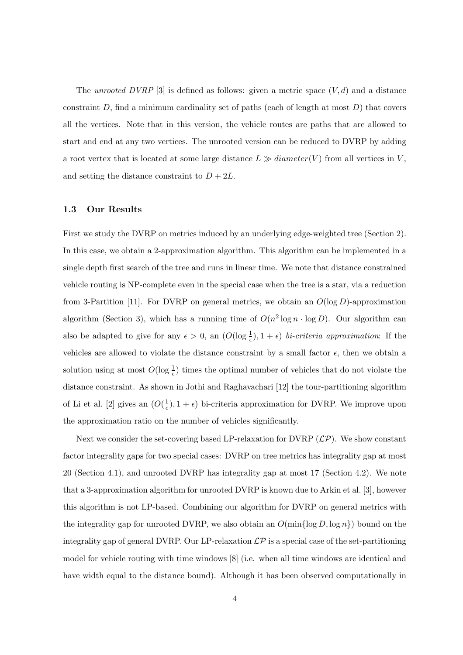The unrooted DVRP [3] is defined as follows: given a metric space  $(V, d)$  and a distance constraint  $D$ , find a minimum cardinality set of paths (each of length at most  $D$ ) that covers all the vertices. Note that in this version, the vehicle routes are paths that are allowed to start and end at any two vertices. The unrooted version can be reduced to DVRP by adding a root vertex that is located at some large distance  $L \gg diameter(V)$  from all vertices in V, and setting the distance constraint to  $D + 2L$ .

### 1.3 Our Results

First we study the DVRP on metrics induced by an underlying edge-weighted tree (Section 2). In this case, we obtain a 2-approximation algorithm. This algorithm can be implemented in a single depth first search of the tree and runs in linear time. We note that distance constrained vehicle routing is NP-complete even in the special case when the tree is a star, via a reduction from 3-Partition [11]. For DVRP on general metrics, we obtain an  $O(\log D)$ -approximation algorithm (Section 3), which has a running time of  $O(n^2 \log n \cdot \log D)$ . Our algorithm can also be adapted to give for any  $\epsilon > 0$ , an  $(O(\log \frac{1}{\epsilon}), 1 + \epsilon)$  bi-criteria approximation: If the vehicles are allowed to violate the distance constraint by a small factor  $\epsilon$ , then we obtain a solution using at most  $O(\log \frac{1}{\epsilon})$  times the optimal number of vehicles that do not violate the distance constraint. As shown in Jothi and Raghavachari [12] the tour-partitioning algorithm of Li et al. [2] gives an  $(O(\frac{1}{\epsilon}))$  $(\frac{1}{\epsilon}), 1 + \epsilon)$  bi-criteria approximation for DVRP. We improve upon the approximation ratio on the number of vehicles significantly.

Next we consider the set-covering based LP-relaxation for DVRP  $(\mathcal{LP})$ . We show constant factor integrality gaps for two special cases: DVRP on tree metrics has integrality gap at most 20 (Section 4.1), and unrooted DVRP has integrality gap at most 17 (Section 4.2). We note that a 3-approximation algorithm for unrooted DVRP is known due to Arkin et al. [3], however this algorithm is not LP-based. Combining our algorithm for DVRP on general metrics with the integrality gap for unrooted DVRP, we also obtain an  $O(\min\{\log D, \log n\})$  bound on the integrality gap of general DVRP. Our LP-relaxation  $\mathcal{LP}$  is a special case of the set-partitioning model for vehicle routing with time windows [8] (i.e. when all time windows are identical and have width equal to the distance bound). Although it has been observed computationally in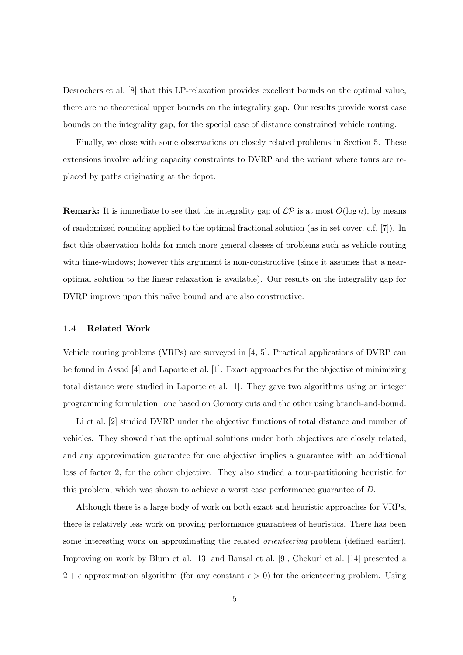Desrochers et al. [8] that this LP-relaxation provides excellent bounds on the optimal value, there are no theoretical upper bounds on the integrality gap. Our results provide worst case bounds on the integrality gap, for the special case of distance constrained vehicle routing.

Finally, we close with some observations on closely related problems in Section 5. These extensions involve adding capacity constraints to DVRP and the variant where tours are replaced by paths originating at the depot.

**Remark:** It is immediate to see that the integrality gap of  $\mathcal{LP}$  is at most  $O(\log n)$ , by means of randomized rounding applied to the optimal fractional solution (as in set cover, c.f. [7]). In fact this observation holds for much more general classes of problems such as vehicle routing with time-windows; however this argument is non-constructive (since it assumes that a nearoptimal solution to the linear relaxation is available). Our results on the integrality gap for DVRP improve upon this naïve bound and are also constructive.

### 1.4 Related Work

Vehicle routing problems (VRPs) are surveyed in [4, 5]. Practical applications of DVRP can be found in Assad [4] and Laporte et al. [1]. Exact approaches for the objective of minimizing total distance were studied in Laporte et al. [1]. They gave two algorithms using an integer programming formulation: one based on Gomory cuts and the other using branch-and-bound.

Li et al. [2] studied DVRP under the objective functions of total distance and number of vehicles. They showed that the optimal solutions under both objectives are closely related, and any approximation guarantee for one objective implies a guarantee with an additional loss of factor 2, for the other objective. They also studied a tour-partitioning heuristic for this problem, which was shown to achieve a worst case performance guarantee of D.

Although there is a large body of work on both exact and heuristic approaches for VRPs, there is relatively less work on proving performance guarantees of heuristics. There has been some interesting work on approximating the related *orienteering* problem (defined earlier). Improving on work by Blum et al. [13] and Bansal et al. [9], Chekuri et al. [14] presented a  $2 + \epsilon$  approximation algorithm (for any constant  $\epsilon > 0$ ) for the orienteering problem. Using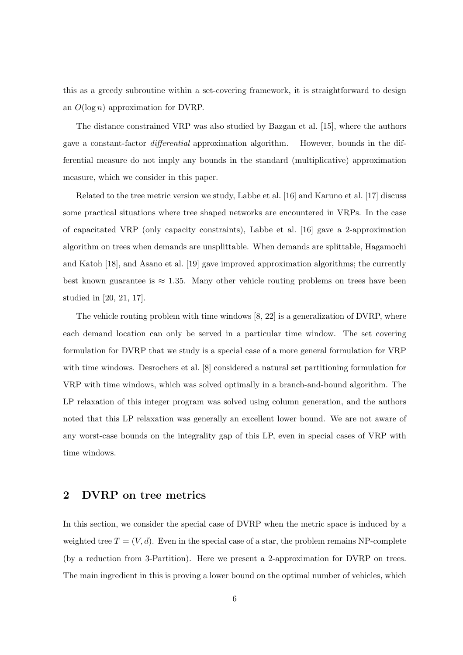this as a greedy subroutine within a set-covering framework, it is straightforward to design an  $O(\log n)$  approximation for DVRP.

The distance constrained VRP was also studied by Bazgan et al. [15], where the authors gave a constant-factor differential approximation algorithm. However, bounds in the differential measure do not imply any bounds in the standard (multiplicative) approximation measure, which we consider in this paper.

Related to the tree metric version we study, Labbe et al. [16] and Karuno et al. [17] discuss some practical situations where tree shaped networks are encountered in VRPs. In the case of capacitated VRP (only capacity constraints), Labbe et al. [16] gave a 2-approximation algorithm on trees when demands are unsplittable. When demands are splittable, Hagamochi and Katoh [18], and Asano et al. [19] gave improved approximation algorithms; the currently best known guarantee is  $\approx 1.35$ . Many other vehicle routing problems on trees have been studied in [20, 21, 17].

The vehicle routing problem with time windows [8, 22] is a generalization of DVRP, where each demand location can only be served in a particular time window. The set covering formulation for DVRP that we study is a special case of a more general formulation for VRP with time windows. Desrochers et al. [8] considered a natural set partitioning formulation for VRP with time windows, which was solved optimally in a branch-and-bound algorithm. The LP relaxation of this integer program was solved using column generation, and the authors noted that this LP relaxation was generally an excellent lower bound. We are not aware of any worst-case bounds on the integrality gap of this LP, even in special cases of VRP with time windows.

# 2 DVRP on tree metrics

In this section, we consider the special case of DVRP when the metric space is induced by a weighted tree  $T = (V, d)$ . Even in the special case of a star, the problem remains NP-complete (by a reduction from 3-Partition). Here we present a 2-approximation for DVRP on trees. The main ingredient in this is proving a lower bound on the optimal number of vehicles, which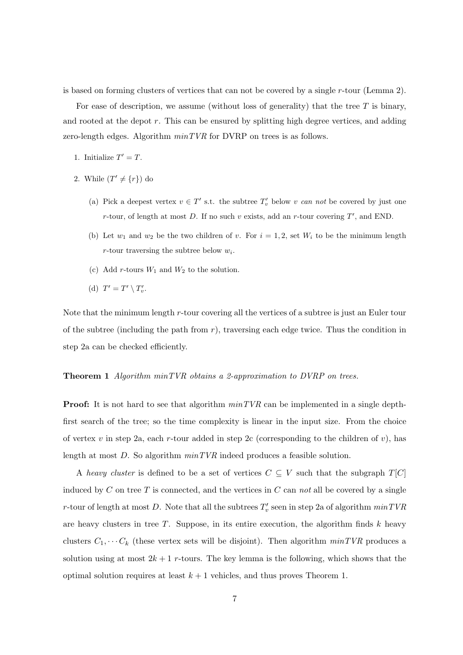is based on forming clusters of vertices that can not be covered by a single  $r$ -tour (Lemma 2).

For ease of description, we assume (without loss of generality) that the tree  $T$  is binary, and rooted at the depot r. This can be ensured by splitting high degree vertices, and adding zero-length edges. Algorithm  $minTVR$  for DVRP on trees is as follows.

- 1. Initialize  $T' = T$ .
- 2. While  $(T' \neq \{r\})$  do
	- (a) Pick a deepest vertex  $v \in T'$  s.t. the subtree  $T'_{v}$  below v can not be covered by just one r-tour, of length at most D. If no such v exists, add an r-tour covering  $T'$ , and END.
	- (b) Let  $w_1$  and  $w_2$  be the two children of v. For  $i = 1, 2$ , set  $W_i$  to be the minimum length r-tour traversing the subtree below  $w_i$ .
	- (c) Add r-tours  $W_1$  and  $W_2$  to the solution.
	- (d)  $T' = T' \setminus T'_v$ .

Note that the minimum length r-tour covering all the vertices of a subtree is just an Euler tour of the subtree (including the path from  $r$ ), traversing each edge twice. Thus the condition in step 2a can be checked efficiently.

### **Theorem 1** Algorithm  $minTVR$  obtains a 2-approximation to  $DVRP$  on trees.

**Proof:** It is not hard to see that algorithm  $minTVR$  can be implemented in a single depthfirst search of the tree; so the time complexity is linear in the input size. From the choice of vertex v in step 2a, each r-tour added in step 2c (corresponding to the children of v), has length at most  $D$ . So algorithm  $minTVR$  indeed produces a feasible solution.

A heavy cluster is defined to be a set of vertices  $C \subseteq V$  such that the subgraph  $T[C]$ induced by C on tree T is connected, and the vertices in C can not all be covered by a single r-tour of length at most D. Note that all the subtrees  $T_v'$  seen in step 2a of algorithm  $minTVR$ are heavy clusters in tree  $T$ . Suppose, in its entire execution, the algorithm finds  $k$  heavy clusters  $C_1, \cdots C_k$  (these vertex sets will be disjoint). Then algorithm  $minTVR$  produces a solution using at most  $2k + 1$  r-tours. The key lemma is the following, which shows that the optimal solution requires at least  $k + 1$  vehicles, and thus proves Theorem 1.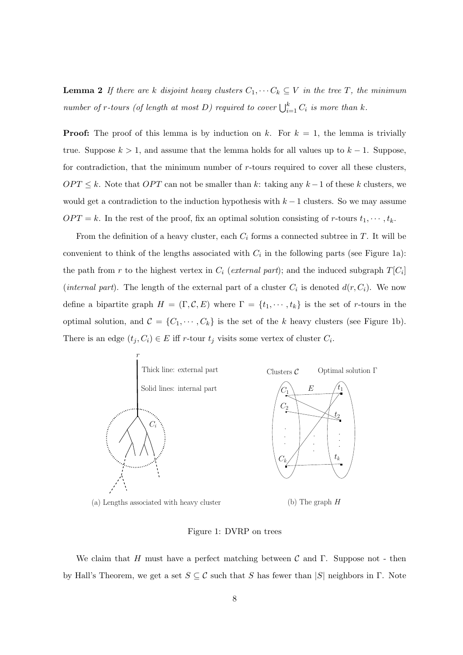**Lemma 2** If there are k disjoint heavy clusters  $C_1, \cdots C_k \subseteq V$  in the tree T, the minimum number of r-tours (of length at most D) required to cover  $\bigcup_{i=1}^k C_i$  is more than k.

**Proof:** The proof of this lemma is by induction on k. For  $k = 1$ , the lemma is trivially true. Suppose  $k > 1$ , and assume that the lemma holds for all values up to  $k - 1$ . Suppose, for contradiction, that the minimum number of r-tours required to cover all these clusters,  $OPT \leq k$ . Note that  $OPT$  can not be smaller than k: taking any  $k-1$  of these k clusters, we would get a contradiction to the induction hypothesis with  $k-1$  clusters. So we may assume  $OPT = k$ . In the rest of the proof, fix an optimal solution consisting of r-tours  $t_1, \dots, t_k$ .

From the definition of a heavy cluster, each  $C_i$  forms a connected subtree in T. It will be convenient to think of the lengths associated with  $C_i$  in the following parts (see Figure 1a): the path from r to the highest vertex in  $C_i$  (external part); and the induced subgraph  $T[C_i]$ (internal part). The length of the external part of a cluster  $C_i$  is denoted  $d(r, C_i)$ . We now define a bipartite graph  $H = (\Gamma, \mathcal{C}, E)$  where  $\Gamma = \{t_1, \dots, t_k\}$  is the set of r-tours in the optimal solution, and  $\mathcal{C} = \{C_1, \dots, C_k\}$  is the set of the k heavy clusters (see Figure 1b). There is an edge  $(t_j, C_i) \in E$  iff r-tour  $t_j$  visits some vertex of cluster  $C_i$ .



Figure 1: DVRP on trees

We claim that H must have a perfect matching between C and  $\Gamma$ . Suppose not - then by Hall's Theorem, we get a set  $S \subseteq \mathcal{C}$  such that S has fewer than  $|S|$  neighbors in  $\Gamma$ . Note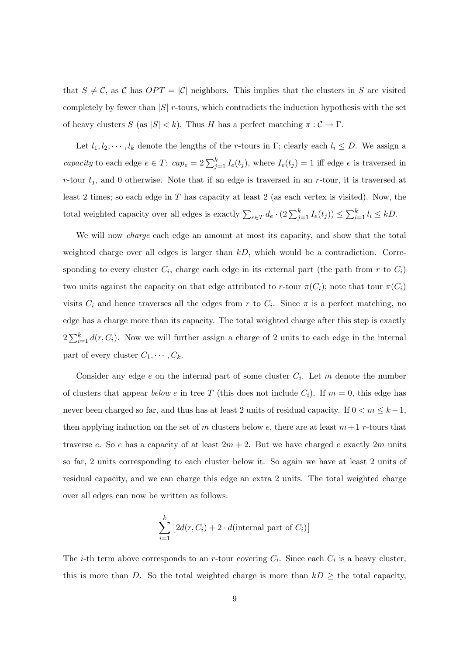that  $S \neq C$ , as C has  $OPT = |C|$  neighbors. This implies that the clusters in S are visited completely by fewer than  $|S|$  r-tours, which contradicts the induction hypothesis with the set of heavy clusters  $S$  (as  $|S| < k$ ). Thus H has a perfect matching  $\pi : C \to \Gamma$ .

Let  $l_1, l_2, \dots, l_k$  denote the lengths of the r-tours in Γ; clearly each  $l_i \leq D$ . We assign a capacity to each edge  $e \in T$ :  $cap_e = 2\sum_{j=1}^{k} I_e(t_j)$ , where  $I_e(t_j) = 1$  iff edge e is traversed in r-tour  $t_j$ , and 0 otherwise. Note that if an edge is traversed in an r-tour, it is traversed at least 2 times; so each edge in  $T$  has capacity at least 2 (as each vertex is visited). Now, the total weighted capacity over all edges is exactly  $\sum_{e \in T} d_e \cdot (2 \sum_{j=1}^k I_e(t_j)) \leq$  $\bigcap_k$  $_{i=1}^k l_i \leq kD.$ 

We will now charge each edge an amount at most its capacity, and show that the total weighted charge over all edges is larger than  $kD$ , which would be a contradiction. Corresponding to every cluster  $C_i$ , charge each edge in its external part (the path from r to  $C_i$ ) two units against the capacity on that edge attributed to r-tour  $\pi(C_i)$ ; note that tour  $\pi(C_i)$ visits  $C_i$  and hence traverses all the edges from r to  $C_i$ . Since  $\pi$  is a perfect matching, no edge has a charge more than its capacity. The total weighted charge after this step is exactly  $2\sum_{i=1}^{k}$  $\sum_{i=1}^{k} d(r, C_i)$ . Now we will further assign a charge of 2 units to each edge in the internal part of every cluster  $C_1, \cdots, C_k$ .

Consider any edge  $e$  on the internal part of some cluster  $C_i$ . Let m denote the number of clusters that appear below e in tree T (this does not include  $C_i$ ). If  $m = 0$ , this edge has never been charged so far, and thus has at least 2 units of residual capacity. If  $0 < m \leq k - 1$ , then applying induction on the set of m clusters below e, there are at least  $m+1$  r-tours that traverse e. So e has a capacity of at least  $2m + 2$ . But we have charged e exactly  $2m$  units so far, 2 units corresponding to each cluster below it. So again we have at least 2 units of residual capacity, and we can charge this edge an extra 2 units. The total weighted charge over all edges can now be written as follows:

$$
\sum_{i=1}^{k} \left[ 2d(r, C_i) + 2 \cdot d(\text{internal part of } C_i) \right]
$$

The *i*-th term above corresponds to an *r*-tour covering  $C_i$ . Since each  $C_i$  is a heavy cluster, this is more than D. So the total weighted charge is more than  $kD >$  the total capacity,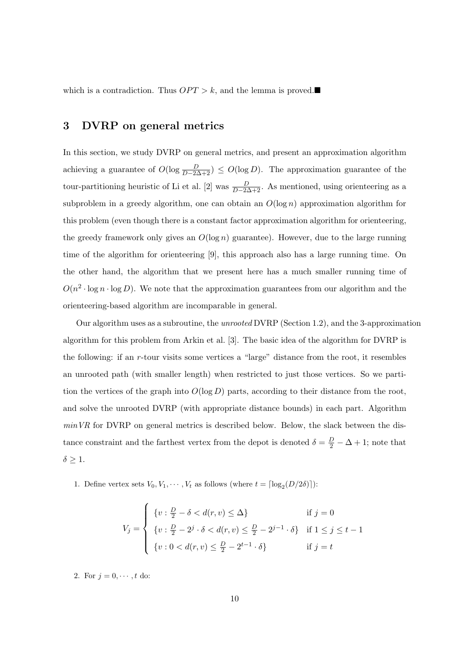which is a contradiction. Thus  $OPT > k$ , and the lemma is proved.

# 3 DVRP on general metrics

In this section, we study DVRP on general metrics, and present an approximation algorithm achieving a guarantee of  $O(\log \frac{D}{D-2\Delta+2}) \leq O(\log D)$ . The approximation guarantee of the tour-partitioning heuristic of Li et al. [2] was  $\frac{D}{D-2\Delta+2}$ . As mentioned, using orienteering as a subproblem in a greedy algorithm, one can obtain an  $O(\log n)$  approximation algorithm for this problem (even though there is a constant factor approximation algorithm for orienteering, the greedy framework only gives an  $O(\log n)$  guarantee). However, due to the large running time of the algorithm for orienteering [9], this approach also has a large running time. On the other hand, the algorithm that we present here has a much smaller running time of  $O(n^2 \cdot \log n \cdot \log D)$ . We note that the approximation guarantees from our algorithm and the orienteering-based algorithm are incomparable in general.

Our algorithm uses as a subroutine, the unrooted DVRP (Section 1.2), and the 3-approximation algorithm for this problem from Arkin et al. [3]. The basic idea of the algorithm for DVRP is the following: if an r-tour visits some vertices a "large" distance from the root, it resembles an unrooted path (with smaller length) when restricted to just those vertices. So we partition the vertices of the graph into  $O(\log D)$  parts, according to their distance from the root, and solve the unrooted DVRP (with appropriate distance bounds) in each part. Algorithm  $minVR$  for DVRP on general metrics is described below. Below, the slack between the distance constraint and the farthest vertex from the depot is denoted  $\delta = \frac{D}{2} - \Delta + 1$ ; note that  $\delta \geq 1$ .

1. Define vertex sets  $V_0, V_1, \dots, V_t$  as follows (where  $t = \lfloor \log_2(D/2\delta) \rfloor$ ):

$$
V_j = \begin{cases} \{v : \frac{D}{2} - \delta < d(r, v) \le \Delta\} & \text{if } j = 0\\ \{v : \frac{D}{2} - 2^j \cdot \delta < d(r, v) \le \frac{D}{2} - 2^{j-1} \cdot \delta\} & \text{if } 1 \le j \le t - 1\\ \{v : 0 < d(r, v) \le \frac{D}{2} - 2^{t-1} \cdot \delta\} & \text{if } j = t \end{cases}
$$

2. For  $j = 0, \dots, t$  do:

 $\overline{a}$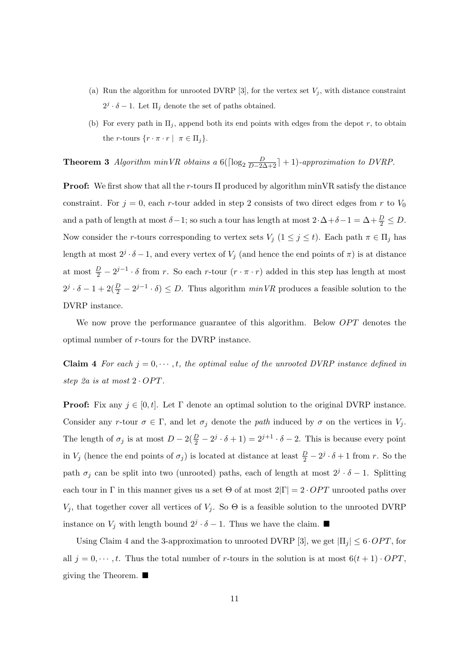- (a) Run the algorithm for unrooted DVRP [3], for the vertex set  $V_i$ , with distance constraint  $2^j \cdot \delta - 1$ . Let  $\Pi_j$  denote the set of paths obtained.
- (b) For every path in  $\Pi_i$ , append both its end points with edges from the depot r, to obtain the *r*-tours  $\{r \cdot \pi \cdot r \mid \pi \in \Pi_j\}.$

**Theorem 3** Algorithm minVR obtains a 6( $\lceil \log_2 \frac{D}{D-2\Delta+2} \rceil + 1$ )-approximation to DVRP.

**Proof:** We first show that all the r-tours  $\Pi$  produced by algorithm minVR satisfy the distance constraint. For  $j = 0$ , each r-tour added in step 2 consists of two direct edges from r to  $V_0$ and a path of length at most  $\delta - 1$ ; so such a tour has length at most  $2 \cdot \Delta + \delta - 1 = \Delta + \frac{D}{2} \le D$ . Now consider the r-tours corresponding to vertex sets  $V_j$   $(1 \leq j \leq t)$ . Each path  $\pi \in \Pi_j$  has length at most  $2^j \cdot \delta - 1$ , and every vertex of  $V_j$  (and hence the end points of  $\pi$ ) is at distance at most  $\frac{D}{2} - 2^{j-1} \cdot \delta$  from r. So each r-tour  $(r \cdot \pi \cdot r)$  added in this step has length at most  $2^j \cdot \delta - 1 + 2(\frac{D}{2} - 2^{j-1} \cdot \delta) \leq D$ . Thus algorithm  $\min VR$  produces a feasible solution to the DVRP instance.

We now prove the performance guarantee of this algorithm. Below *OPT* denotes the optimal number of r-tours for the DVRP instance.

**Claim 4** For each  $j = 0, \dots, t$ , the optimal value of the unrooted DVRP instance defined in step 2a is at most  $2 \cdot OPT$ .

**Proof:** Fix any  $j \in [0, t]$ . Let  $\Gamma$  denote an optimal solution to the original DVRP instance. Consider any r-tour  $\sigma \in \Gamma$ , and let  $\sigma_j$  denote the path induced by  $\sigma$  on the vertices in  $V_j$ . The length of  $\sigma_j$  is at most  $D-2(\frac{D}{2}-2^j\cdot\delta+1)=2^{j+1}\cdot\delta-2$ . This is because every point in  $V_j$  (hence the end points of  $\sigma_j$ ) is located at distance at least  $\frac{D}{2} - 2^j \cdot \delta + 1$  from r. So the path  $\sigma_j$  can be split into two (unrooted) paths, each of length at most  $2^j \cdot \delta - 1$ . Splitting each tour in Γ in this manner gives us a set Θ of at most  $2|\Gamma|=2$  · OPT unrooted paths over  $V_j$ , that together cover all vertices of  $V_j$ . So  $\Theta$  is a feasible solution to the unrooted DVRP instance on  $V_j$  with length bound  $2^j \cdot \delta - 1$ . Thus we have the claim.  $\blacksquare$ 

Using Claim 4 and the 3-approximation to unrooted DVRP [3], we get  $|\Pi_i| \leq 6 \cdot OPT$ , for all  $j = 0, \dots, t$ . Thus the total number of r-tours in the solution is at most  $6(t + 1) \cdot OPT$ , giving the Theorem.  $\blacksquare$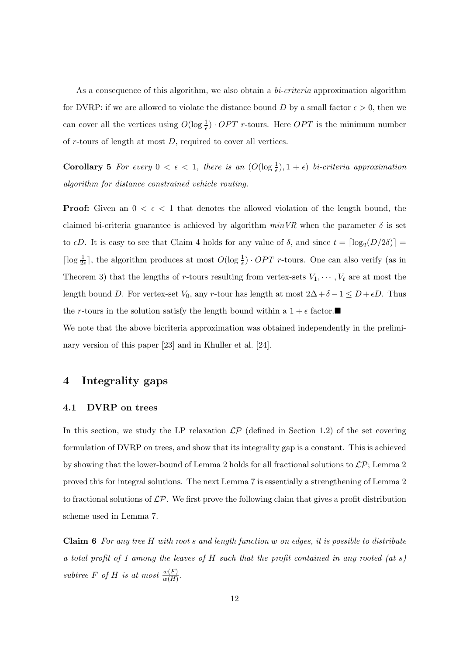As a consequence of this algorithm, we also obtain a *bi-criteria* approximation algorithm for DVRP: if we are allowed to violate the distance bound D by a small factor  $\epsilon > 0$ , then we can cover all the vertices using  $O(\log \frac{1}{\epsilon}) \cdot OPT$  r-tours. Here  $OPT$  is the minimum number of  $r$ -tours of length at most  $D$ , required to cover all vertices.

Corollary 5 For every  $0 < \epsilon < 1$ , there is an  $(O(\log \frac{1}{\epsilon}), 1 + \epsilon)$  bi-criteria approximation algorithm for distance constrained vehicle routing.

**Proof:** Given an  $0 < \epsilon < 1$  that denotes the allowed violation of the length bound, the claimed bi-criteria guarantee is achieved by algorithm  $minVR$  when the parameter  $\delta$  is set to  $\epsilon D$ . It is easy to see that Claim 4 holds for any value of  $\delta$ , and since  $t = \lceil \log_2(D/2\delta) \rceil$  $\lceil \log \frac{1}{2\epsilon} \rceil$ , the algorithm produces at most  $O(\log \frac{1}{\epsilon}) \cdot OPT$  r-tours. One can also verify (as in Theorem 3) that the lengths of r-tours resulting from vertex-sets  $V_1, \dots, V_t$  are at most the length bound D. For vertex-set  $V_0$ , any r-tour has length at most  $2\Delta + \delta - 1 \le D + \epsilon D$ . Thus the r-tours in the solution satisfy the length bound within a  $1 + \epsilon$  factor. We note that the above bicriteria approximation was obtained independently in the prelimi-

### 4 Integrality gaps

nary version of this paper [23] and in Khuller et al. [24].

### 4.1 DVRP on trees

In this section, we study the LP relaxation  $\mathcal{LP}$  (defined in Section 1.2) of the set covering formulation of DVRP on trees, and show that its integrality gap is a constant. This is achieved by showing that the lower-bound of Lemma 2 holds for all fractional solutions to  $\mathcal{LP}$ ; Lemma 2 proved this for integral solutions. The next Lemma 7 is essentially a strengthening of Lemma 2 to fractional solutions of  $\mathcal{LP}$ . We first prove the following claim that gives a profit distribution scheme used in Lemma 7.

**Claim 6** For any tree H with root s and length function w on edges, it is possible to distribute a total profit of 1 among the leaves of  $H$  such that the profit contained in any rooted (at s) subtree F of H is at most  $\frac{w(F)}{w(H)}$ .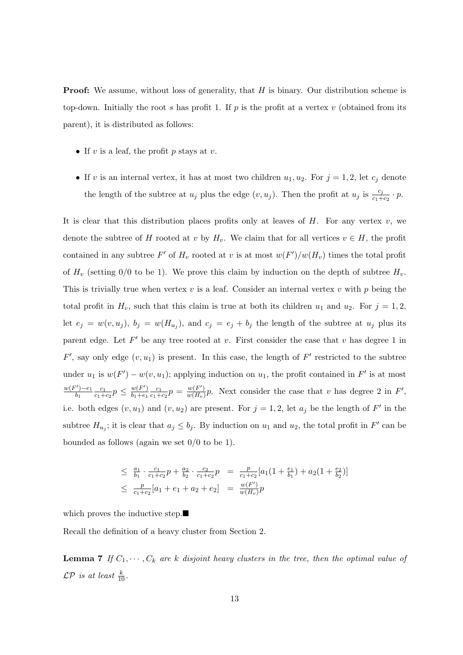**Proof:** We assume, without loss of generality, that  $H$  is binary. Our distribution scheme is top-down. Initially the root s has profit 1. If p is the profit at a vertex v (obtained from its parent), it is distributed as follows:

- If  $v$  is a leaf, the profit  $p$  stays at  $v$ .
- If v is an internal vertex, it has at most two children  $u_1, u_2$ . For  $j = 1, 2$ , let  $c_j$  denote the length of the subtree at  $u_j$  plus the edge  $(v, u_j)$ . Then the profit at  $u_j$  is  $\frac{c_j}{c_1+c_2} \cdot p$ .

It is clear that this distribution places profits only at leaves of  $H$ . For any vertex  $v$ , we denote the subtree of H rooted at v by  $H_v$ . We claim that for all vertices  $v \in H$ , the profit contained in any subtree  $F'$  of  $H_v$  rooted at v is at most  $w(F')/w(H_v)$  times the total profit of  $H_v$  (setting 0/0 to be 1). We prove this claim by induction on the depth of subtree  $H_v$ . This is trivially true when vertex  $v$  is a leaf. Consider an internal vertex  $v$  with  $p$  being the total profit in  $H_v$ , such that this claim is true at both its children  $u_1$  and  $u_2$ . For  $j = 1, 2$ , let  $e_j = w(v, u_j)$ ,  $b_j = w(H_{u_j})$ , and  $c_j = e_j + b_j$  the length of the subtree at  $u_j$  plus its parent edge. Let  $F'$  be any tree rooted at v. First consider the case that v has degree 1 in  $F'$ , say only edge  $(v, u_1)$  is present. In this case, the length of  $F'$  restricted to the subtree under  $u_1$  is  $w(F') - w(v, u_1)$ ; applying induction on  $u_1$ , the profit contained in F' is at most  $w(F')-e_1$  $\overline{b_1}$  $\overline{c_1}$  $\frac{c_1}{c_1+c_2}p \leq \frac{w(F')}{b_1+e_1}$  $\overline{b_1+e_1}$  $\overline{c_1}$  $\frac{c_1}{c_1+c_2}p = \frac{w(F')}{w(H_v)}$  $\frac{w(F')}{w(H_v)}p$ . Next consider the case that v has degree 2 in F', i.e. both edges  $(v, u_1)$  and  $(v, u_2)$  are present. For  $j = 1, 2$ , let  $a_j$  be the length of F' in the subtree  $H_{u_j}$ ; it is clear that  $a_j \leq b_j$ . By induction on  $u_1$  and  $u_2$ , the total profit in  $F'$  can be bounded as follows (again we set  $0/0$  to be 1).

$$
\leq \frac{a_1}{b_1} \cdot \frac{c_1}{c_1 + c_2} p + \frac{a_2}{b_2} \cdot \frac{c_2}{c_1 + c_2} p = \frac{p}{c_1 + c_2} [a_1 (1 + \frac{e_1}{b_1}) + a_2 (1 + \frac{e_2}{b_2})]
$$
  
\n
$$
\leq \frac{p}{c_1 + c_2} [a_1 + e_1 + a_2 + e_2] = \frac{w(F')}{w(H_v)} p
$$

which proves the inductive step. $\blacksquare$ 

Recall the definition of a heavy cluster from Section 2.

**Lemma 7** If  $C_1, \dots, C_k$  are k disjoint heavy clusters in the tree, then the optimal value of  $\mathcal{LP}$  is at least  $\frac{k}{10}$ .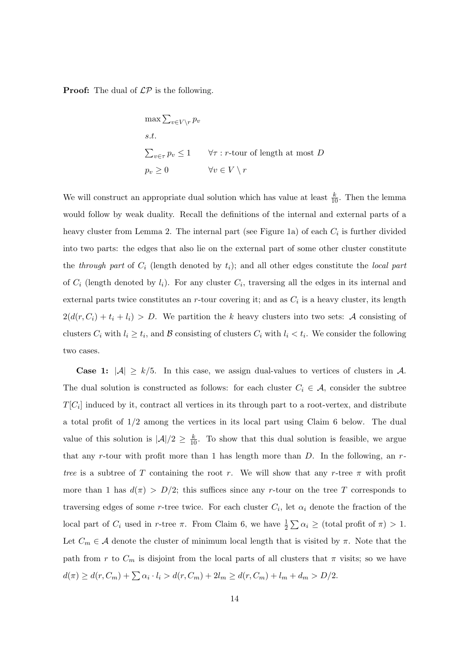**Proof:** The dual of  $\mathcal{LP}$  is the following.

$$
\max \sum_{v \in V \setminus r} p_v
$$
  
s.t.  

$$
\sum_{v \in \tau} p_v \le 1 \qquad \forall \tau : r\text{-tour of length at most } D
$$
  

$$
p_v \ge 0 \qquad \qquad \forall v \in V \setminus r
$$

We will construct an appropriate dual solution which has value at least  $\frac{k}{10}$ . Then the lemma would follow by weak duality. Recall the definitions of the internal and external parts of a heavy cluster from Lemma 2. The internal part (see Figure 1a) of each  $C_i$  is further divided into two parts: the edges that also lie on the external part of some other cluster constitute the through part of  $C_i$  (length denoted by  $t_i$ ); and all other edges constitute the local part of  $C_i$  (length denoted by  $l_i$ ). For any cluster  $C_i$ , traversing all the edges in its internal and external parts twice constitutes an r-tour covering it; and as  $C_i$  is a heavy cluster, its length  $2(d(r, C_i) + t_i + l_i) > D$ . We partition the k heavy clusters into two sets: A consisting of clusters  $C_i$  with  $l_i \geq t_i$ , and  $\mathcal B$  consisting of clusters  $C_i$  with  $l_i < t_i$ . We consider the following two cases.

**Case 1:**  $|\mathcal{A}| \geq k/5$ . In this case, we assign dual-values to vertices of clusters in A. The dual solution is constructed as follows: for each cluster  $C_i \in \mathcal{A}$ , consider the subtree  $T[C_i]$  induced by it, contract all vertices in its through part to a root-vertex, and distribute a total profit of 1/2 among the vertices in its local part using Claim 6 below. The dual value of this solution is  $|\mathcal{A}|/2 \geq \frac{k}{10}$ . To show that this dual solution is feasible, we argue that any r-tour with profit more than 1 has length more than  $D$ . In the following, an  $r$ tree is a subtree of T containing the root r. We will show that any r-tree  $\pi$  with profit more than 1 has  $d(\pi) > D/2$ ; this suffices since any r-tour on the tree T corresponds to traversing edges of some r-tree twice. For each cluster  $C_i$ , let  $\alpha_i$  denote the fraction of the local part of  $C_i$  used in r-tree  $\pi$ . From Claim 6, we have  $\frac{1}{2} \sum \alpha_i \geq$  (total profit of  $\pi$ ) > 1. Let  $C_m \in \mathcal{A}$  denote the cluster of minimum local length that is visited by  $\pi$ . Note that the path from r to  $C_m$  is disjoint from the local parts of all clusters that  $\pi$  visits; so we have  $d(\pi) \ge d(r, C_m) + \sum \alpha_i \cdot l_i > d(r, C_m) + 2l_m \ge d(r, C_m) + l_m + d_m > D/2.$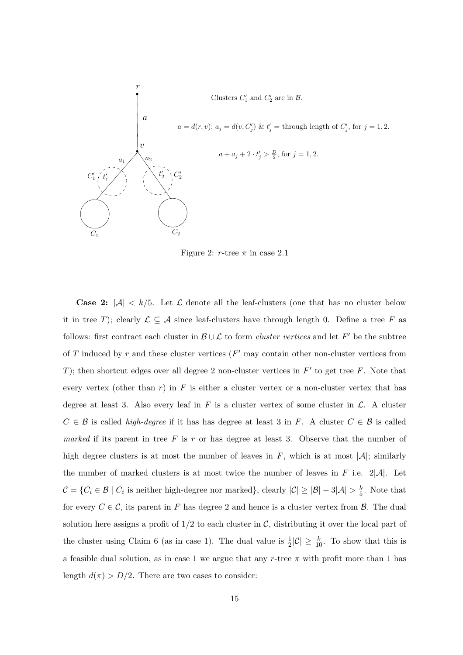

Figure 2:  $r$ -tree  $\pi$  in case 2.1

**Case 2:**  $|\mathcal{A}| < k/5$ . Let  $\mathcal{L}$  denote all the leaf-clusters (one that has no cluster below it in tree T); clearly  $\mathcal{L} \subseteq \mathcal{A}$  since leaf-clusters have through length 0. Define a tree F as follows: first contract each cluster in  $\mathcal{B} \cup \mathcal{L}$  to form *cluster vertices* and let F' be the subtree of T induced by r and these cluster vertices  $(F'$  may contain other non-cluster vertices from T); then shortcut edges over all degree 2 non-cluster vertices in  $F'$  to get tree F. Note that every vertex (other than  $r$ ) in  $F$  is either a cluster vertex or a non-cluster vertex that has degree at least 3. Also every leaf in  $F$  is a cluster vertex of some cluster in  $\mathcal{L}$ . A cluster  $C \in \mathcal{B}$  is called *high-degree* if it has has degree at least 3 in F. A cluster  $C \in \mathcal{B}$  is called marked if its parent in tree  $F$  is  $r$  or has degree at least 3. Observe that the number of high degree clusters is at most the number of leaves in F, which is at most  $|\mathcal{A}|$ ; similarly the number of marked clusters is at most twice the number of leaves in F i.e.  $2|\mathcal{A}|$ . Let  $\mathcal{C} = \{C_i \in \mathcal{B} \mid C_i \text{ is neither high-degree nor marked}\},$  clearly  $|\mathcal{C}| \geq |\mathcal{B}| - 3|\mathcal{A}| > \frac{k}{5}$  $\frac{k}{5}$ . Note that for every  $C \in \mathcal{C}$ , its parent in F has degree 2 and hence is a cluster vertex from  $\mathcal{B}$ . The dual solution here assigns a profit of  $1/2$  to each cluster in C, distributing it over the local part of the cluster using Claim 6 (as in case 1). The dual value is  $\frac{1}{2}|\mathcal{C}| \ge \frac{k}{10}$ . To show that this is a feasible dual solution, as in case 1 we argue that any r-tree  $\pi$  with profit more than 1 has length  $d(\pi) > D/2$ . There are two cases to consider: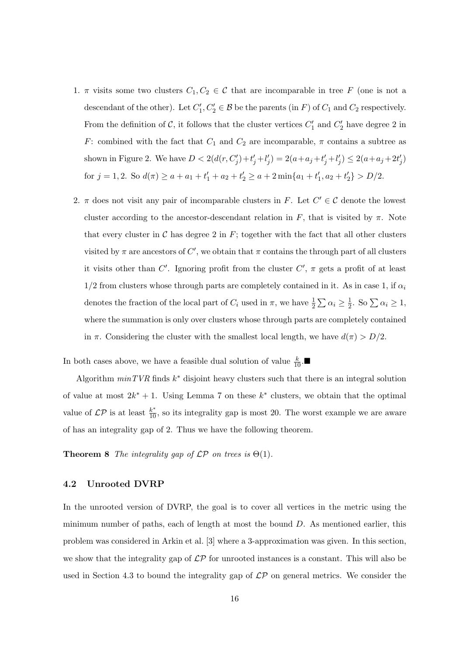- 1.  $\pi$  visits some two clusters  $C_1, C_2 \in \mathcal{C}$  that are incomparable in tree F (one is not a descendant of the other). Let  $C'_1, C'_2 \in \mathcal{B}$  be the parents (in F) of  $C_1$  and  $C_2$  respectively. From the definition of C, it follows that the cluster vertices  $C'_1$  and  $C'_2$  have degree 2 in F: combined with the fact that  $C_1$  and  $C_2$  are incomparable,  $\pi$  contains a subtree as shown in Figure 2. We have  $D < 2(d(r, C'_j) + t'_j + l'_j) = 2(a + a_j + t'_j + l'_j) \leq 2(a + a_j + 2t'_j)$ for  $j = 1, 2$ . So  $d(\pi) \ge a + a_1 + t'_1 + a_2 + t'_2 \ge a + 2 \min\{a_1 + t'_1, a_2 + t'_2\} > D/2$ .
- 2.  $\pi$  does not visit any pair of incomparable clusters in F. Let  $C' \in \mathcal{C}$  denote the lowest cluster according to the ancestor-descendant relation in F, that is visited by  $\pi$ . Note that every cluster in  $\mathcal C$  has degree 2 in  $F$ ; together with the fact that all other clusters visited by  $\pi$  are ancestors of C', we obtain that  $\pi$  contains the through part of all clusters it visits other than C'. Ignoring profit from the cluster  $C'$ ,  $\pi$  gets a profit of at least  $1/2$  from clusters whose through parts are completely contained in it. As in case 1, if  $\alpha_i$ denotes the fraction of the local part of  $C_i$  used in  $\pi$ , we have  $\frac{1}{2} \sum \alpha_i \geq \frac{1}{2}$  $\frac{1}{2}$ . So  $\sum \alpha_i \geq 1$ , where the summation is only over clusters whose through parts are completely contained in  $\pi$ . Considering the cluster with the smallest local length, we have  $d(\pi) > D/2$ .

In both cases above, we have a feasible dual solution of value  $\frac{k}{10}$ .

Algorithm  $minTVR$  finds  $k^*$  disjoint heavy clusters such that there is an integral solution of value at most  $2k^* + 1$ . Using Lemma 7 on these  $k^*$  clusters, we obtain that the optimal value of  $\mathcal{LP}$  is at least  $\frac{k^*}{10}$ , so its integrality gap is most 20. The worst example we are aware of has an integrality gap of 2. Thus we have the following theorem.

**Theorem 8** The integrality gap of  $\mathcal{LP}$  on trees is  $\Theta(1)$ .

### 4.2 Unrooted DVRP

In the unrooted version of DVRP, the goal is to cover all vertices in the metric using the minimum number of paths, each of length at most the bound  $D$ . As mentioned earlier, this problem was considered in Arkin et al. [3] where a 3-approximation was given. In this section, we show that the integrality gap of  $\mathcal{LP}$  for unrooted instances is a constant. This will also be used in Section 4.3 to bound the integrality gap of  $\mathcal{LP}$  on general metrics. We consider the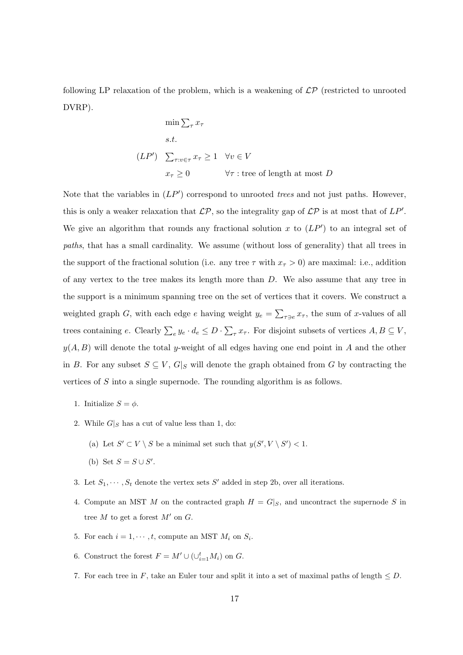following LP relaxation of the problem, which is a weakening of  $\mathcal{LP}$  (restricted to unrooted DVRP).

$$
\min \sum_{\tau} x_{\tau}
$$
  
s.t.  

$$
(LP') \sum_{\tau: v \in \tau} x_{\tau} \ge 1 \quad \forall v \in V
$$
  

$$
x_{\tau} \ge 0 \qquad \forall \tau : \text{tree of length at most } D
$$

Note that the variables in  $(LP')$  correspond to unrooted *trees* and not just paths. However, this is only a weaker relaxation that  $\mathcal{LP}$ , so the integrality gap of  $\mathcal{LP}$  is at most that of  $LP'$ . We give an algorithm that rounds any fractional solution  $x$  to  $(LP')$  to an integral set of paths, that has a small cardinality. We assume (without loss of generality) that all trees in the support of the fractional solution (i.e. any tree  $\tau$  with  $x_{\tau} > 0$ ) are maximal: i.e., addition of any vertex to the tree makes its length more than  $D$ . We also assume that any tree in the support is a minimum spanning tree on the set of vertices that it covers. We construct a weighted graph G, with each edge  $e$  having weight  $y_e =$  $\overline{ }$  $\tau_{\exists e} x_{\tau}$ , the sum of x-values of all trees containing e. Clearly  $\sum_{e} y_e \cdot d_e \leq D \cdot$  $\overline{ }$  $\tau$   $x_{\tau}$ . For disjoint subsets of vertices  $A, B \subseteq V$ ,  $y(A, B)$  will denote the total y-weight of all edges having one end point in A and the other in B. For any subset  $S \subseteq V$ ,  $G|_S$  will denote the graph obtained from G by contracting the vertices of S into a single supernode. The rounding algorithm is as follows.

- 1. Initialize  $S = \phi$ .
- 2. While  $G|_S$  has a cut of value less than 1, do:
	- (a) Let  $S' \subset V \setminus S$  be a minimal set such that  $y(S', V \setminus S') < 1$ .
	- (b) Set  $S = S \cup S'$ .
- 3. Let  $S_1, \dots, S_t$  denote the vertex sets S' added in step 2b, over all iterations.
- 4. Compute an MST M on the contracted graph  $H = G|_S$ , and uncontract the supernode S in tree M to get a forest  $M'$  on G.
- 5. For each  $i = 1, \dots, t$ , compute an MST  $M_i$  on  $S_i$ .
- 6. Construct the forest  $F = M' \cup (\cup_{i=1}^t M_i)$  on G.
- 7. For each tree in F, take an Euler tour and split it into a set of maximal paths of length  $\leq D$ .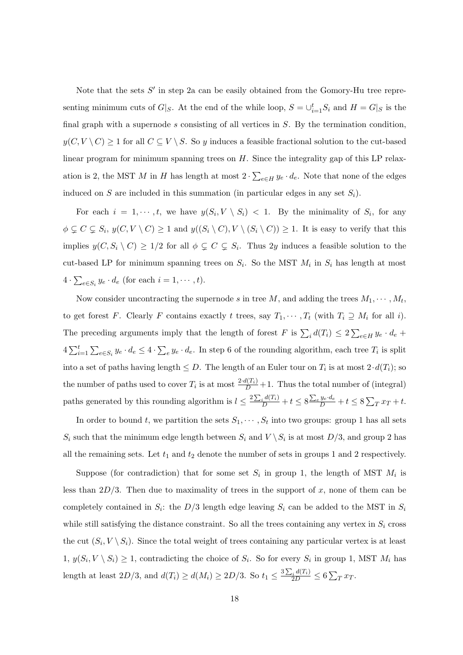Note that the sets  $S'$  in step 2a can be easily obtained from the Gomory-Hu tree representing minimum cuts of  $G|_S$ . At the end of the while loop,  $S = \bigcup_{i=1}^t S_i$  and  $H = G|_S$  is the final graph with a supernode  $s$  consisting of all vertices in  $S$ . By the termination condition,  $y(C, V \setminus C) \ge 1$  for all  $C \subseteq V \setminus S$ . So y induces a feasible fractional solution to the cut-based linear program for minimum spanning trees on  $H$ . Since the integrality gap of this LP relaxation is 2, the MST  $M$  in  $H$  has length at most  $2 \cdot$  $\overline{ }$  $_{e\in H} y_e \cdot d_e$ . Note that none of the edges induced on S are included in this summation (in particular edges in any set  $S_i$ ).

For each  $i = 1, \dots, t$ , we have  $y(S_i, V \setminus S_i) < 1$ . By the minimality of  $S_i$ , for any  $\phi \subsetneq C \subsetneq S_i$ ,  $y(C, V \setminus C) \geq 1$  and  $y((S_i \setminus C), V \setminus (S_i \setminus C)) \geq 1$ . It is easy to verify that this implies  $y(C, S_i \setminus C) \ge 1/2$  for all  $\phi \subsetneq C \subsetneq S_i$ . Thus 2y induces a feasible solution to the cut-based LP for minimum spanning trees on  $S_i$ . So the MST  $M_i$  in  $S_i$  has length at most 4 ·  $\overline{ }$  $_{e\in S_i} y_e \cdot d_e$  (for each  $i = 1, \cdots, t$ ).

Now consider uncontracting the supernode s in tree M, and adding the trees  $M_1, \cdots, M_t$ , to get forest F. Clearly F contains exactly t trees, say  $T_1, \cdots, T_t$  (with  $T_i \supseteq M_i$  for all i). The preceding arguments imply that the length of forest  $F$  is  $\sum_i d(T_i) \leq 2$  $\overline{ }$  $e \in H$   $y_e \cdot d_e +$  $4\sum_{i}^{t}$  $i=1$  $\overline{ }$  $_{e\in S_i} y_e \cdot d_e \leq 4 \cdot$  $\overline{ }$  $e y_e \cdot d_e$ . In step 6 of the rounding algorithm, each tree  $T_i$  is split into a set of paths having length  $\leq D$ . The length of an Euler tour on  $T_i$  is at most  $2 \cdot d(T_i)$ ; so the number of paths used to cover  $T_i$  is at most  $\frac{2 \cdot d(T_i)}{D} + 1$ . Thus the total number of (integral) paths generated by this rounding algorithm is  $l \leq \frac{2 \sum_{l=1}^{n} l}{l}$  $\frac{d(T_i)}{D} + t \leq 8$  $\overline{ }$  $\frac{e y_e \cdot d_e}{D} + t \leq 8$  $\overline{ }$  $T x T + t.$ 

In order to bound t, we partition the sets  $S_1, \cdots, S_t$  into two groups: group 1 has all sets  $S_i$  such that the minimum edge length between  $S_i$  and  $V \setminus S_i$  is at most  $D/3$ , and group 2 has all the remaining sets. Let  $t_1$  and  $t_2$  denote the number of sets in groups 1 and 2 respectively.

Suppose (for contradiction) that for some set  $S_i$  in group 1, the length of MST  $M_i$  is less than  $2D/3$ . Then due to maximality of trees in the support of x, none of them can be completely contained in  $S_i$ : the  $D/3$  length edge leaving  $S_i$  can be added to the MST in  $S_i$ while still satisfying the distance constraint. So all the trees containing any vertex in  $S_i$  cross the cut  $(S_i, V \setminus S_i)$ . Since the total weight of trees containing any particular vertex is at least  $1, y(S_i, V \setminus S_i) \geq 1$ , contradicting the choice of  $S_i$ . So for every  $S_i$  in group 1, MST  $M_i$  has length at least  $2D/3$ , and  $d(T_i) \ge d(M_i) \ge 2D/3$ . So  $t_1 \le \frac{3\sum_{i=1}^{n} (M_i)}{2\sum_{i=1}^{n} (M_i)}$  $\frac{\sum\limits_{i}d(T_{i})}{2D}\leq6$  $\overline{ }$  $T^{T}$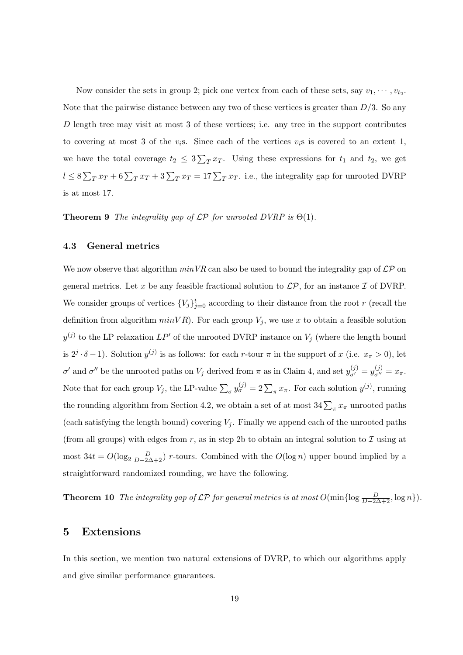Now consider the sets in group 2; pick one vertex from each of these sets, say  $v_1, \dots, v_{t_2}$ . Note that the pairwise distance between any two of these vertices is greater than  $D/3$ . So any D length tree may visit at most 3 of these vertices; i.e. any tree in the support contributes to covering at most 3 of the  $v_i$ s. Since each of the vertices  $v_i$ s is covered to an extent 1, we have the total coverage  $t_2 \leq 3$  $\overline{ }$  $T T T$ . Using these expressions for  $t_1$  and  $t_2$ , we get  $l \leq 8$  $\overline{ }$  $T_T T + 6 \sum_T x_T + 3 \sum_T x_T = 17 \sum_T x_T$ . i.e., the integrality gap for unrooted DVRP is at most 17.

**Theorem 9** The integrality gap of  $\mathcal{LP}$  for unrooted DVRP is  $\Theta(1)$ .

### 4.3 General metrics

We now observe that algorithm  $minVR$  can also be used to bound the integrality gap of  $\mathcal{LP}$  on general metrics. Let x be any feasible fractional solution to  $\mathcal{LP}$ , for an instance  $\mathcal I$  of DVRP. We consider groups of vertices  ${V_j}_{j=0}^t$  according to their distance from the root r (recall the definition from algorithm  $minVR$ ). For each group  $V_j$ , we use x to obtain a feasible solution  $y^{(j)}$  to the LP relaxation  $LP'$  of the unrooted DVRP instance on  $V_j$  (where the length bound is  $2^j \cdot \delta - 1$ ). Solution  $y^{(j)}$  is as follows: for each r-tour  $\pi$  in the support of x (i.e.  $x_{\pi} > 0$ ), let σ' and σ'' be the unrooted paths on  $V_j$  derived from π as in Claim 4, and set  $y_{\sigma'}^{(j)} = y_{\sigma''}^{(j)} = x_{\pi}$ . Note that for each group  $V_j$ , the LP-value  $\sum_{\sigma} y_{\sigma}^{(j)} = 2 \sum_{\pi} x_{\pi}$ . For each solution  $y^{(j)}$ , running the rounding algorithm from Section 4.2, we obtain a set of at most  $34\sum_{\pi} x_{\pi}$  unrooted paths (each satisfying the length bound) covering  $V_i$ . Finally we append each of the unrooted paths (from all groups) with edges from r, as in step 2b to obtain an integral solution to  $\mathcal I$  using at most  $34t = O(\log_2 \frac{D}{D-2\Delta+2})$  r-tours. Combined with the  $O(\log n)$  upper bound implied by a straightforward randomized rounding, we have the following.

**Theorem 10** The integrality gap of  $\mathcal{LP}$  for general metrics is at most  $O(\min\{\log \frac{D}{D-2\Delta+2}, \log n\}).$ 

# 5 Extensions

In this section, we mention two natural extensions of DVRP, to which our algorithms apply and give similar performance guarantees.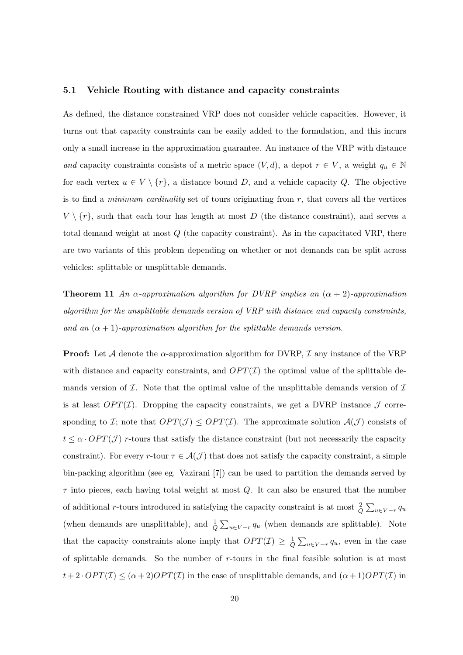#### 5.1 Vehicle Routing with distance and capacity constraints

As defined, the distance constrained VRP does not consider vehicle capacities. However, it turns out that capacity constraints can be easily added to the formulation, and this incurs only a small increase in the approximation guarantee. An instance of the VRP with distance and capacity constraints consists of a metric space  $(V, d)$ , a depot  $r \in V$ , a weight  $q_u \in \mathbb{N}$ for each vertex  $u \in V \setminus \{r\}$ , a distance bound D, and a vehicle capacity Q. The objective is to find a *minimum cardinality* set of tours originating from  $r$ , that covers all the vertices  $V \setminus \{r\}$ , such that each tour has length at most D (the distance constraint), and serves a total demand weight at most  $Q$  (the capacity constraint). As in the capacitated VRP, there are two variants of this problem depending on whether or not demands can be split across vehicles: splittable or unsplittable demands.

**Theorem 11** An  $\alpha$ -approximation algorithm for DVRP implies an  $(\alpha + 2)$ -approximation algorithm for the unsplittable demands version of VRP with distance and capacity constraints, and an  $(\alpha + 1)$ -approximation algorithm for the splittable demands version.

**Proof:** Let A denote the  $\alpha$ -approximation algorithm for DVRP, I any instance of the VRP with distance and capacity constraints, and  $OPT(\mathcal{I})$  the optimal value of the splittable demands version of  $\mathcal I$ . Note that the optimal value of the unsplittable demands version of  $\mathcal I$ is at least  $OPT(\mathcal{I})$ . Dropping the capacity constraints, we get a DVRP instance  $\mathcal J$  corresponding to I; note that  $OPT(\mathcal{J}) \leq OPT(\mathcal{I})$ . The approximate solution  $\mathcal{A}(\mathcal{J})$  consists of  $t \leq \alpha \cdot OPT(\mathcal{J})$  r-tours that satisfy the distance constraint (but not necessarily the capacity constraint). For every r-tour  $\tau \in \mathcal{A}(\mathcal{J})$  that does not satisfy the capacity constraint, a simple bin-packing algorithm (see eg. Vazirani [7]) can be used to partition the demands served by  $\tau$  into pieces, each having total weight at most  $Q$ . It can also be ensured that the number of additional r-tours introduced in satisfying the capacity constraint is at most  $\frac{2}{Q}$  $\overline{ }$  $u \in V - r$   $q_u$ (when demands are unsplittable), and  $\frac{1}{Q}$  $\overline{ }$  $u \in V - r$   $q_u$  (when demands are splittable). Note that the capacity constraints alone imply that  $OPT(I) \geq \frac{1}{C}$  $\overline{Q}$  $\overline{ }$  $u \in V - r$   $q_u$ , even in the case of splittable demands. So the number of  $r$ -tours in the final feasible solution is at most  $t+2\cdot OPT(\mathcal{I}) \leq (\alpha+2)OPT(\mathcal{I})$  in the case of unsplittable demands, and  $(\alpha+1)OPT(\mathcal{I})$  in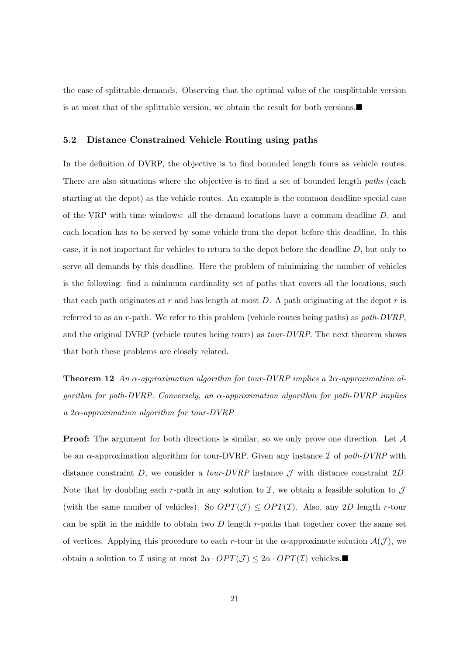the case of splittable demands. Observing that the optimal value of the unsplittable version is at most that of the splittable version, we obtain the result for both versions. $\blacksquare$ 

### 5.2 Distance Constrained Vehicle Routing using paths

In the definition of DVRP, the objective is to find bounded length tours as vehicle routes. There are also situations where the objective is to find a set of bounded length *paths* (each starting at the depot) as the vehicle routes. An example is the common deadline special case of the VRP with time windows: all the demand locations have a common deadline D, and each location has to be served by some vehicle from the depot before this deadline. In this case, it is not important for vehicles to return to the depot before the deadline D, but only to serve all demands by this deadline. Here the problem of minimizing the number of vehicles is the following: find a minimum cardinality set of paths that covers all the locations, such that each path originates at r and has length at most  $D$ . A path originating at the depot r is referred to as an r-path. We refer to this problem (vehicle routes being paths) as path-DVRP, and the original DVRP (vehicle routes being tours) as  $tour-DVRP$ . The next theorem shows that both these problems are closely related.

**Theorem 12** An  $\alpha$ -approximation algorithm for tour-DVRP implies a 2 $\alpha$ -approximation algorithm for path-DVRP. Conversely, an  $\alpha$ -approximation algorithm for path-DVRP implies a  $2\alpha$ -approximation algorithm for tour-DVRP

**Proof:** The argument for both directions is similar, so we only prove one direction. Let  $A$ be an  $\alpha$ -approximation algorithm for tour-DVRP. Given any instance  $\mathcal I$  of path-DVRP with distance constraint D, we consider a tour-DVRP instance  $\mathcal J$  with distance constraint 2D. Note that by doubling each r-path in any solution to  $\mathcal{I}$ , we obtain a feasible solution to  $\mathcal{J}$ (with the same number of vehicles). So  $OPT(\mathcal{J}) \leq OPT(\mathcal{I})$ . Also, any 2D length r-tour can be split in the middle to obtain two  $D$  length  $r$ -paths that together cover the same set of vertices. Applying this procedure to each r-tour in the  $\alpha$ -approximate solution  $\mathcal{A}(\mathcal{J})$ , we obtain a solution to *I* using at most  $2\alpha \cdot OPT(\mathcal{J}) \leq 2\alpha \cdot OPT(\mathcal{I})$  vehicles.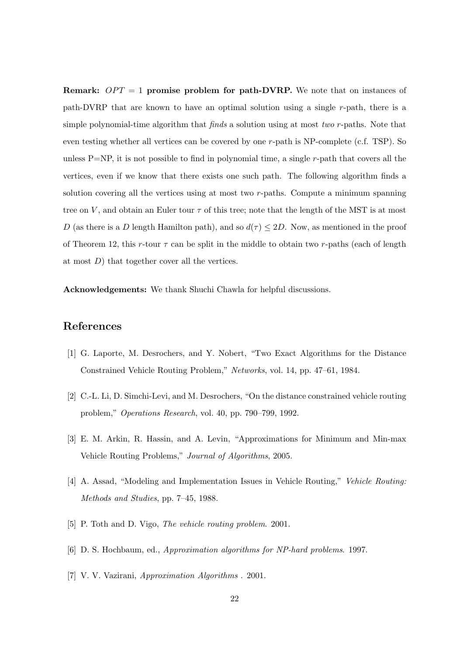**Remark:**  $OPT = 1$  promise problem for path-DVRP. We note that on instances of path-DVRP that are known to have an optimal solution using a single r-path, there is a simple polynomial-time algorithm that  $finds$  a solution using at most two r-paths. Note that even testing whether all vertices can be covered by one r-path is NP-complete (c.f. TSP). So unless  $P=NP$ , it is not possible to find in polynomial time, a single r-path that covers all the vertices, even if we know that there exists one such path. The following algorithm finds a solution covering all the vertices using at most two  $r$ -paths. Compute a minimum spanning tree on V, and obtain an Euler tour  $\tau$  of this tree; note that the length of the MST is at most D (as there is a D length Hamilton path), and so  $d(\tau) \leq 2D$ . Now, as mentioned in the proof of Theorem 12, this r-tour  $\tau$  can be split in the middle to obtain two r-paths (each of length at most  $D$ ) that together cover all the vertices.

Acknowledgements: We thank Shuchi Chawla for helpful discussions.

# References

- [1] G. Laporte, M. Desrochers, and Y. Nobert, "Two Exact Algorithms for the Distance Constrained Vehicle Routing Problem," Networks, vol. 14, pp. 47–61, 1984.
- [2] C.-L. Li, D. Simchi-Levi, and M. Desrochers, "On the distance constrained vehicle routing problem," Operations Research, vol. 40, pp. 790–799, 1992.
- [3] E. M. Arkin, R. Hassin, and A. Levin, "Approximations for Minimum and Min-max Vehicle Routing Problems," Journal of Algorithms, 2005.
- [4] A. Assad, "Modeling and Implementation Issues in Vehicle Routing," Vehicle Routing: Methods and Studies, pp. 7–45, 1988.
- [5] P. Toth and D. Vigo, *The vehicle routing problem.* 2001.
- [6] D. S. Hochbaum, ed., Approximation algorithms for NP-hard problems. 1997.
- [7] V. V. Vazirani, Approximation Algorithms . 2001.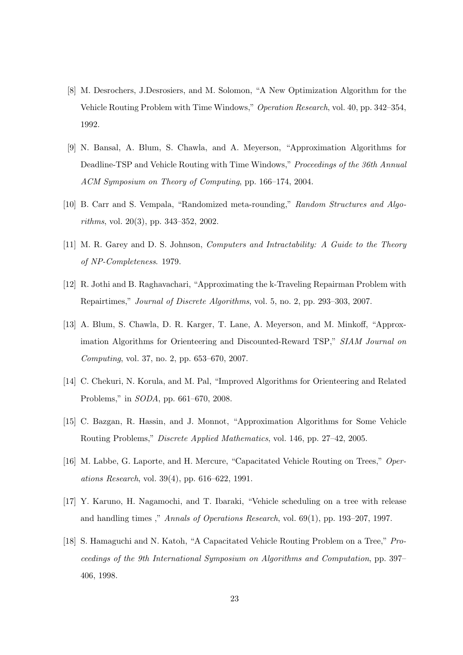- [8] M. Desrochers, J.Desrosiers, and M. Solomon, "A New Optimization Algorithm for the Vehicle Routing Problem with Time Windows," Operation Research, vol. 40, pp. 342–354, 1992.
- [9] N. Bansal, A. Blum, S. Chawla, and A. Meyerson, "Approximation Algorithms for Deadline-TSP and Vehicle Routing with Time Windows," Proceedings of the 36th Annual ACM Symposium on Theory of Computing, pp. 166–174, 2004.
- [10] B. Carr and S. Vempala, "Randomized meta-rounding," Random Structures and Algorithms, vol. 20(3), pp. 343–352, 2002.
- [11] M. R. Garey and D. S. Johnson, Computers and Intractability: A Guide to the Theory of NP-Completeness. 1979.
- [12] R. Jothi and B. Raghavachari, "Approximating the k-Traveling Repairman Problem with Repairtimes," Journal of Discrete Algorithms, vol. 5, no. 2, pp. 293–303, 2007.
- [13] A. Blum, S. Chawla, D. R. Karger, T. Lane, A. Meyerson, and M. Minkoff, "Approximation Algorithms for Orienteering and Discounted-Reward TSP," SIAM Journal on Computing, vol. 37, no. 2, pp. 653–670, 2007.
- [14] C. Chekuri, N. Korula, and M. Pal, "Improved Algorithms for Orienteering and Related Problems," in SODA, pp. 661–670, 2008.
- [15] C. Bazgan, R. Hassin, and J. Monnot, "Approximation Algorithms for Some Vehicle Routing Problems," Discrete Applied Mathematics, vol. 146, pp. 27–42, 2005.
- [16] M. Labbe, G. Laporte, and H. Mercure, "Capacitated Vehicle Routing on Trees," Operations Research, vol. 39(4), pp. 616–622, 1991.
- [17] Y. Karuno, H. Nagamochi, and T. Ibaraki, "Vehicle scheduling on a tree with release and handling times ," Annals of Operations Research, vol. 69(1), pp. 193–207, 1997.
- [18] S. Hamaguchi and N. Katoh, "A Capacitated Vehicle Routing Problem on a Tree," Proceedings of the 9th International Symposium on Algorithms and Computation, pp. 397– 406, 1998.